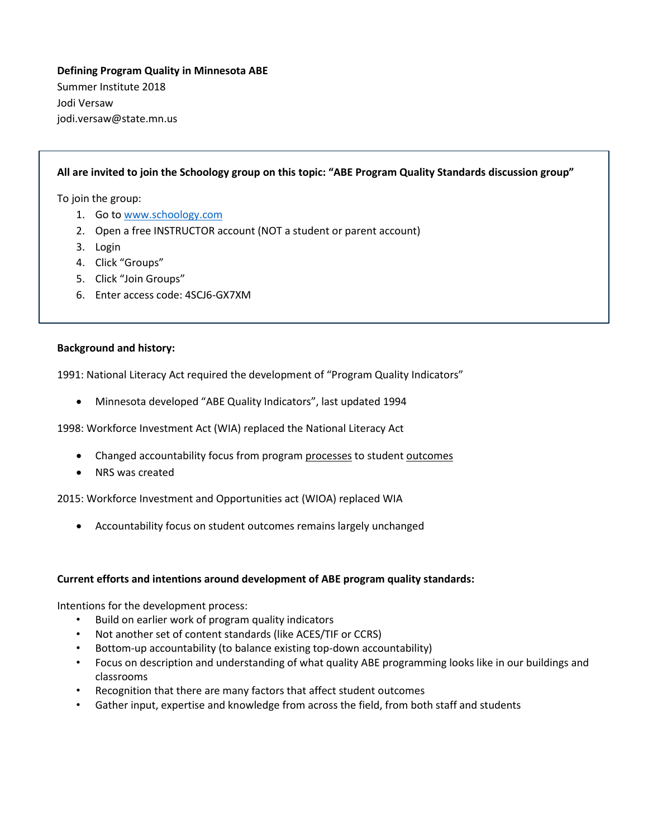# **Defining Program Quality in Minnesota ABE** Summer Institute 2018 Jodi Versaw jodi.versaw@state.mn.us

# **All are invited to join the Schoology group on this topic: "ABE Program Quality Standards discussion group"**

To join the group:

- 1. Go to [www.schoology.com](http://www.schoology.com/)
- 2. Open a free INSTRUCTOR account (NOT a student or parent account)
- 3. Login
- 4. Click "Groups"
- 5. Click "Join Groups"
- 6. Enter access code: 4SCJ6-GX7XM

#### **Background and history:**

1991: National Literacy Act required the development of "Program Quality Indicators"

Minnesota developed "ABE Quality Indicators", last updated 1994

1998: Workforce Investment Act (WIA) replaced the National Literacy Act

- Changed accountability focus from program processes to student outcomes
- NRS was created

2015: Workforce Investment and Opportunities act (WIOA) replaced WIA

Accountability focus on student outcomes remains largely unchanged

#### **Current efforts and intentions around development of ABE program quality standards:**

Intentions for the development process:

- Build on earlier work of program quality indicators
- Not another set of content standards (like ACES/TIF or CCRS)
- Bottom-up accountability (to balance existing top-down accountability)
- Focus on description and understanding of what quality ABE programming looks like in our buildings and classrooms
- Recognition that there are many factors that affect student outcomes
- Gather input, expertise and knowledge from across the field, from both staff and students